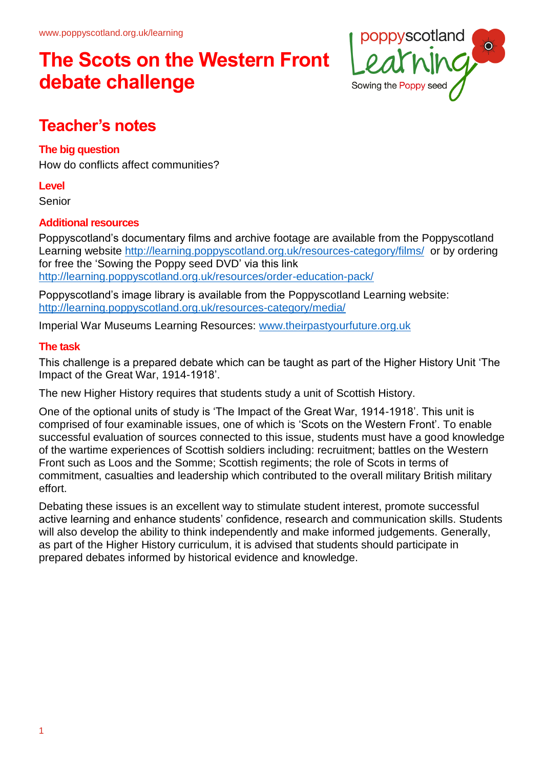

### **Teacher's notes**

### **The big question**

How do conflicts affect communities?

### **Level**

Senior

### **Additional resources**

Poppyscotland's documentary films and archive footage are available from the Poppyscotland Learning website <http://learning.poppyscotland.org.uk/resources-category/films/>or by ordering for free the 'Sowing the Poppy seed DVD' via this link <http://learning.poppyscotland.org.uk/resources/order-education-pack/>

Poppyscotland's image library is available from the Poppyscotland Learning website: <http://learning.poppyscotland.org.uk/resources-category/media/>

Imperial War Museums Learning Resources: [www.theirpastyourfuture.org.uk](http://www.theirpastyourfuture.org.uk/)

### **The task**

This challenge is a prepared debate which can be taught as part of the Higher History Unit 'The Impact of the Great War, 1914-1918'.

The new Higher History requires that students study a unit of Scottish History.

One of the optional units of study is 'The Impact of the Great War, 1914-1918'. This unit is comprised of four examinable issues, one of which is 'Scots on the Western Front'. To enable successful evaluation of sources connected to this issue, students must have a good knowledge of the wartime experiences of Scottish soldiers including: recruitment; battles on the Western Front such as Loos and the Somme; Scottish regiments; the role of Scots in terms of commitment, casualties and leadership which contributed to the overall military British military effort.

Debating these issues is an excellent way to stimulate student interest, promote successful active learning and enhance students' confidence, research and communication skills. Students will also develop the ability to think independently and make informed judgements. Generally, as part of the Higher History curriculum, it is advised that students should participate in prepared debates informed by historical evidence and knowledge.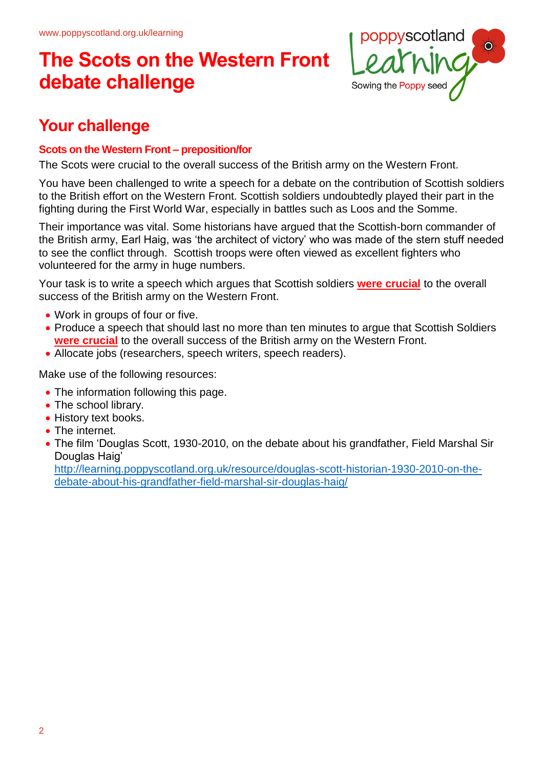

### **Your challenge**

### **Scots on the Western Front – preposition/for**

The Scots were crucial to the overall success of the British army on the Western Front.

You have been challenged to write a speech for a debate on the contribution of Scottish soldiers to the British effort on the Western Front. Scottish soldiers undoubtedly played their part in the fighting during the First World War, especially in battles such as Loos and the Somme.

Their importance was vital. Some historians have argued that the Scottish-born commander of the British army, Earl Haig, was 'the architect of victory' who was made of the stern stuff needed to see the conflict through. Scottish troops were often viewed as excellent fighters who volunteered for the army in huge numbers.

Your task is to write a speech which argues that Scottish soldiers **were crucial** to the overall success of the British army on the Western Front.

- Work in groups of four or five.
- Produce a speech that should last no more than ten minutes to argue that Scottish Soldiers **were crucial** to the overall success of the British army on the Western Front.
- Allocate jobs (researchers, speech writers, speech readers).

Make use of the following resources:

- The information following this page.
- The school library.
- History text books.
- The internet.
- The film 'Douglas Scott, 1930-2010, on the debate about his grandfather, Field Marshal Sir Douglas Haig'

[http://learning.poppyscotland.org.uk/resource/douglas-scott-historian-1930-2010-on-the](http://learning.poppyscotland.org.uk/resource/douglas-scott-historian-1930-2010-on-the-debate-about-his-grandfather-field-marshal-sir-douglas-haig/)[debate-about-his-grandfather-field-marshal-sir-douglas-haig/](http://learning.poppyscotland.org.uk/resource/douglas-scott-historian-1930-2010-on-the-debate-about-his-grandfather-field-marshal-sir-douglas-haig/)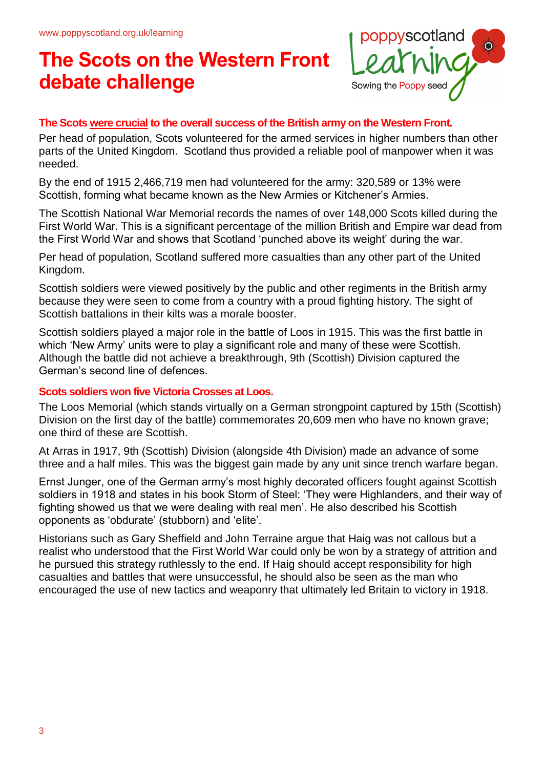

#### **The Scots were crucial to the overall success of the British army on the Western Front.**

Per head of population, Scots volunteered for the armed services in higher numbers than other parts of the United Kingdom. Scotland thus provided a reliable pool of manpower when it was needed.

By the end of 1915 2,466,719 men had volunteered for the army: 320,589 or 13% were Scottish, forming what became known as the New Armies or Kitchener's Armies.

The Scottish National War Memorial records the names of over 148,000 Scots killed during the First World War. This is a significant percentage of the million British and Empire war dead from the First World War and shows that Scotland 'punched above its weight' during the war.

Per head of population, Scotland suffered more casualties than any other part of the United Kingdom.

Scottish soldiers were viewed positively by the public and other regiments in the British army because they were seen to come from a country with a proud fighting history. The sight of Scottish battalions in their kilts was a morale booster.

Scottish soldiers played a major role in the battle of Loos in 1915. This was the first battle in which 'New Army' units were to play a significant role and many of these were Scottish. Although the battle did not achieve a breakthrough, 9th (Scottish) Division captured the German's second line of defences.

#### **Scots soldiers won five Victoria Crosses at Loos.**

The Loos Memorial (which stands virtually on a German strongpoint captured by 15th (Scottish) Division on the first day of the battle) commemorates 20,609 men who have no known grave; one third of these are Scottish.

At Arras in 1917, 9th (Scottish) Division (alongside 4th Division) made an advance of some three and a half miles. This was the biggest gain made by any unit since trench warfare began.

Ernst Junger, one of the German army's most highly decorated officers fought against Scottish soldiers in 1918 and states in his book Storm of Steel: 'They were Highlanders, and their way of fighting showed us that we were dealing with real men'. He also described his Scottish opponents as 'obdurate' (stubborn) and 'elite'.

Historians such as Gary Sheffield and John Terraine argue that Haig was not callous but a realist who understood that the First World War could only be won by a strategy of attrition and he pursued this strategy ruthlessly to the end. If Haig should accept responsibility for high casualties and battles that were unsuccessful, he should also be seen as the man who encouraged the use of new tactics and weaponry that ultimately led Britain to victory in 1918.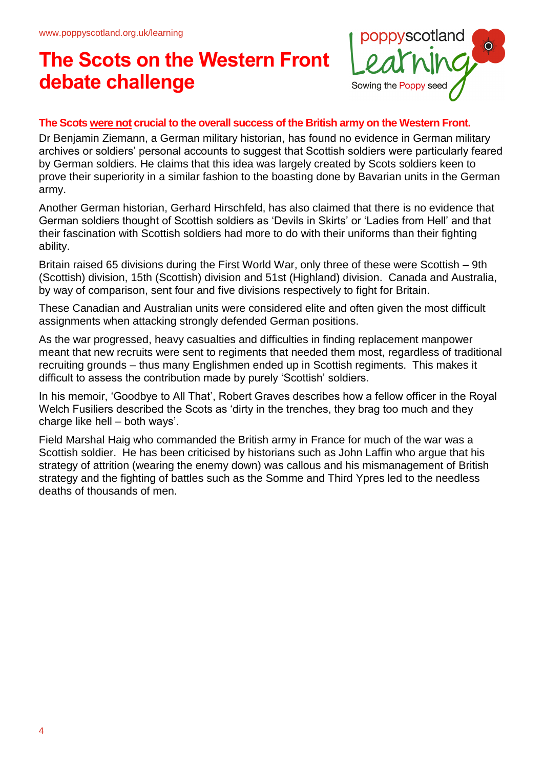

#### **The Scots were not crucial to the overall success of the British army on the Western Front.**

Dr Benjamin Ziemann, a German military historian, has found no evidence in German military archives or soldiers' personal accounts to suggest that Scottish soldiers were particularly feared by German soldiers. He claims that this idea was largely created by Scots soldiers keen to prove their superiority in a similar fashion to the boasting done by Bavarian units in the German army.

Another German historian, Gerhard Hirschfeld, has also claimed that there is no evidence that German soldiers thought of Scottish soldiers as 'Devils in Skirts' or 'Ladies from Hell' and that their fascination with Scottish soldiers had more to do with their uniforms than their fighting ability.

Britain raised 65 divisions during the First World War, only three of these were Scottish – 9th (Scottish) division, 15th (Scottish) division and 51st (Highland) division. Canada and Australia, by way of comparison, sent four and five divisions respectively to fight for Britain.

These Canadian and Australian units were considered elite and often given the most difficult assignments when attacking strongly defended German positions.

As the war progressed, heavy casualties and difficulties in finding replacement manpower meant that new recruits were sent to regiments that needed them most, regardless of traditional recruiting grounds – thus many Englishmen ended up in Scottish regiments. This makes it difficult to assess the contribution made by purely 'Scottish' soldiers.

In his memoir, 'Goodbye to All That', Robert Graves describes how a fellow officer in the Royal Welch Fusiliers described the Scots as 'dirty in the trenches, they brag too much and they charge like hell – both ways'.

Field Marshal Haig who commanded the British army in France for much of the war was a Scottish soldier. He has been criticised by historians such as John Laffin who argue that his strategy of attrition (wearing the enemy down) was callous and his mismanagement of British strategy and the fighting of battles such as the Somme and Third Ypres led to the needless deaths of thousands of men.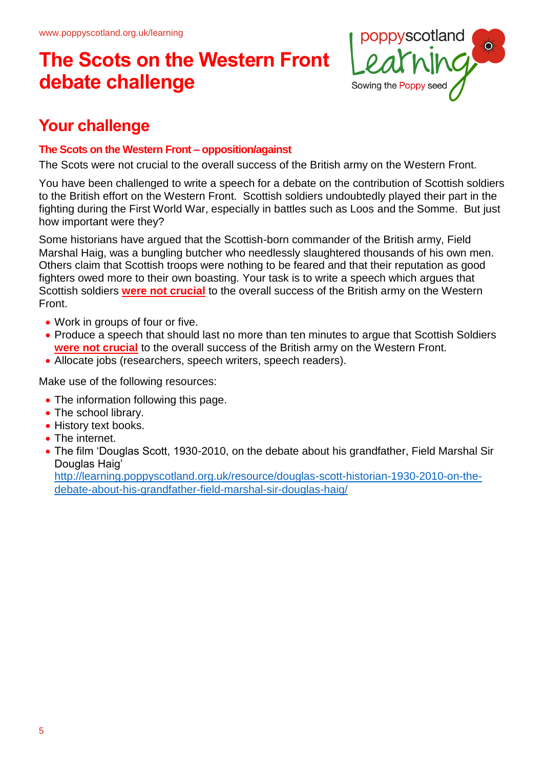

### **Your challenge**

### **The Scots on the Western Front – opposition/against**

The Scots were not crucial to the overall success of the British army on the Western Front.

You have been challenged to write a speech for a debate on the contribution of Scottish soldiers to the British effort on the Western Front. Scottish soldiers undoubtedly played their part in the fighting during the First World War, especially in battles such as Loos and the Somme. But just how important were they?

Some historians have argued that the Scottish-born commander of the British army, Field Marshal Haig, was a bungling butcher who needlessly slaughtered thousands of his own men. Others claim that Scottish troops were nothing to be feared and that their reputation as good fighters owed more to their own boasting. Your task is to write a speech which argues that Scottish soldiers **were not crucial** to the overall success of the British army on the Western Front.

- Work in groups of four or five.
- Produce a speech that should last no more than ten minutes to argue that Scottish Soldiers **were not crucial** to the overall success of the British army on the Western Front.
- Allocate jobs (researchers, speech writers, speech readers).

Make use of the following resources:

- The information following this page.
- The school library.
- History text books.
- The internet.
- The film 'Douglas Scott, 1930-2010, on the debate about his grandfather, Field Marshal Sir Douglas Haig'

[http://learning.poppyscotland.org.uk/resource/douglas-scott-historian-1930-2010-on-the](http://learning.poppyscotland.org.uk/resource/douglas-scott-historian-1930-2010-on-the-debate-about-his-grandfather-field-marshal-sir-douglas-haig/)[debate-about-his-grandfather-field-marshal-sir-douglas-haig/](http://learning.poppyscotland.org.uk/resource/douglas-scott-historian-1930-2010-on-the-debate-about-his-grandfather-field-marshal-sir-douglas-haig/)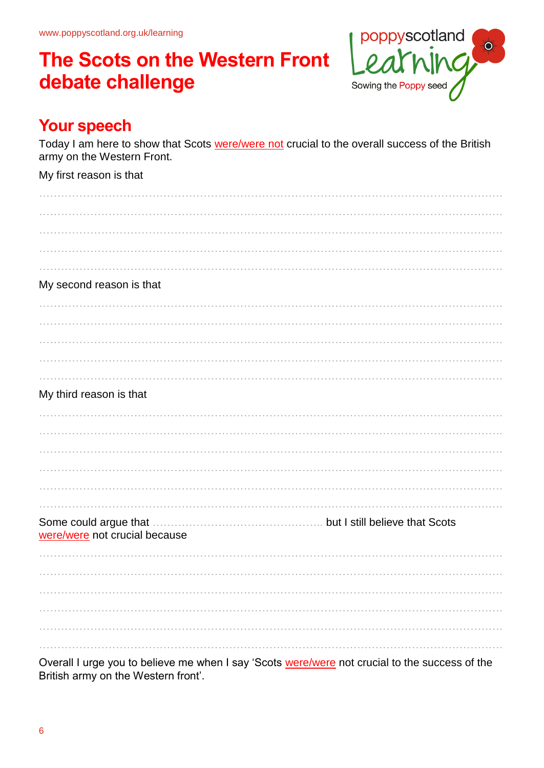

### **Your speech**

Today I am here to show that Scots were/were not crucial to the overall success of the British army on the Western Front.

### My first reason is that

| My second reason is that      |  |
|-------------------------------|--|
|                               |  |
|                               |  |
|                               |  |
|                               |  |
|                               |  |
|                               |  |
| My third reason is that       |  |
|                               |  |
|                               |  |
|                               |  |
|                               |  |
|                               |  |
|                               |  |
| .                             |  |
|                               |  |
| were/were not crucial because |  |
|                               |  |
|                               |  |
|                               |  |
|                               |  |
|                               |  |

Overall I urge you to believe me when I say 'Scots were/were not crucial to the success of the British army on the Western front'.